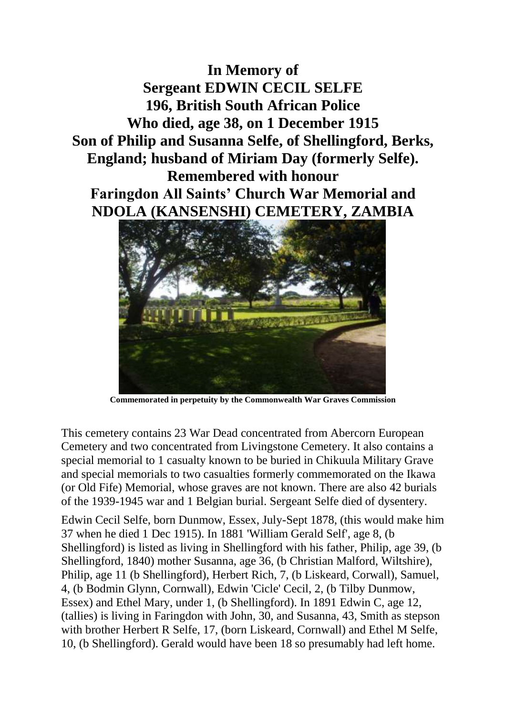**In Memory of Sergeant EDWIN CECIL SELFE 196, British South African Police Who died, age 38, on 1 December 1915 Son of Philip and Susanna Selfe, of Shellingford, Berks, England; husband of Miriam Day (formerly Selfe). Remembered with honour Faringdon All Saints' Church War Memorial and NDOLA (KANSENSHI) CEMETERY, ZAMBIA**



**Commemorated in perpetuity by the Commonwealth War Graves Commission**

This cemetery contains 23 War Dead concentrated from Abercorn European Cemetery and two concentrated from Livingstone Cemetery. It also contains a special memorial to 1 casualty known to be buried in Chikuula Military Grave and special memorials to two casualties formerly commemorated on the Ikawa (or Old Fife) Memorial, whose graves are not known. There are also 42 burials of the 1939-1945 war and 1 Belgian burial. Sergeant Selfe died of dysentery.

Edwin Cecil Selfe, born Dunmow, Essex, July-Sept 1878, (this would make him 37 when he died 1 Dec 1915). In 1881 'William Gerald Self', age 8, (b Shellingford) is listed as living in Shellingford with his father, Philip, age 39, (b Shellingford, 1840) mother Susanna, age 36, (b Christian Malford, Wiltshire), Philip, age 11 (b Shellingford), Herbert Rich, 7, (b Liskeard, Corwall), Samuel, 4, (b Bodmin Glynn, Cornwall), Edwin 'Cicle' Cecil, 2, (b Tilby Dunmow, Essex) and Ethel Mary, under 1, (b Shellingford). In 1891 Edwin C, age 12, (tallies) is living in Faringdon with John, 30, and Susanna, 43, Smith as stepson with brother Herbert R Selfe, 17, (born Liskeard, Cornwall) and Ethel M Selfe, 10, (b Shellingford). Gerald would have been 18 so presumably had left home.